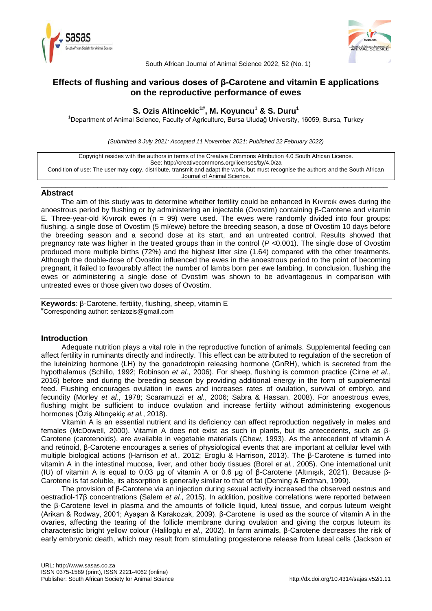



South African Journal of Animal Science 2022, 52 (No. 1)

# **Effects of flushing and various doses of β-Carotene and vitamin E applications on the reproductive performance of ewes**

## **S. Ozis Altincekic1#, M. Koyuncu<sup>1</sup> & S. Duru<sup>1</sup>**

<sup>1</sup>Department of Animal Science, Faculty of Agriculture, Bursa Uludağ University, 16059, Bursa, Turkey

*(Submitted 3 July 2021; Accepted 11 November 2021; Published 22 February 2022)*

Copyright resides with the authors in terms of the Creative Commons Attribution 4.0 South African Licence. See: http://creativecommons.org/licenses/by/4.0/za Condition of use: The user may copy, distribute, transmit and adapt the work, but must recognise the authors and the South African Journal of Animal Science.

#### \_\_\_\_\_\_\_\_\_\_\_\_\_\_\_\_\_\_\_\_\_\_\_\_\_\_\_\_\_\_\_\_\_\_\_\_\_\_\_\_\_\_\_\_\_\_\_\_\_\_\_\_\_\_\_\_\_\_\_\_\_\_\_\_\_\_\_\_\_\_\_\_\_\_\_\_\_\_\_\_\_\_\_\_\_\_ **Abstract**

The aim of this study was to determine whether fertility could be enhanced in Kıvırcık ewes during the anoestrous period by flushing or by administering an injectable (Ovostim) containing β-Carotene and vitamin E. Three-year-old Kivircik ewes ( $n = 99$ ) were used. The ewes were randomly divided into four groups: flushing, a single dose of Ovostim (5 ml/ewe) before the breeding season, a dose of Ovostim 10 days before the breeding season and a second dose at its start, and an untreated control. Results showed that pregnancy rate was higher in the treated groups than in the control (*P* <0.001). The single dose of Ovostim produced more multiple births (72%) and the highest litter size (1.64) compared with the other treatments. Although the double-dose of Ovostim influenced the ewes in the anoestrous period to the point of becoming pregnant, it failed to favourably affect the number of lambs born per ewe lambing. In conclusion, flushing the ewes or administering a single dose of Ovostim was shown to be advantageous in comparison with untreated ewes or those given two doses of Ovostim.

**Keywords**: β-Carotene, fertility, flushing, sheep, vitamin E #Corresponding author: senizozis@gmail.com

### **Introduction**

Adequate nutrition plays a vital role in the reproductive function of animals. Supplemental feeding can affect fertility in ruminants directly and indirectly. This effect can be attributed to regulation of the secretion of the luteinizing hormone (LH) by the gonadotropin releasing hormone (GnRH), which is secreted from the hypothalamus (Schillo, 1992; Robinson *et al.*, 2006). For sheep, flushing is common practice (Cirne *et al.*, 2016) before and during the breeding season by providing additional energy in the form of supplemental feed. Flushing encourages ovulation in ewes and increases rates of ovulation, survival of embryo, and fecundity (Morley *et al.*, 1978; Scaramuzzi *et al.*, 2006; Sabra & Hassan, 2008). For anoestrous ewes, flushing might be sufficient to induce ovulation and increase fertility without administering exogenous hormones (Öziş Altınçekiç *et al.*, 2018).

Vitamin A is an essential nutrient and its deficiency can affect reproduction negatively in males and females (McDowell, 2000). Vitamin A does not exist as such in plants, but its antecedents, such as β-Carotene (carotenoids), are available in vegetable materials (Chew, 1993). As the antecedent of vitamin A and retinoid, β-Carotene encourages a series of physiological events that are important at cellular level with multiple biological actions (Harrison *et al.*, 2012; Eroglu & Harrison, 2013). The β-Carotene is turned into vitamin A in the intestinal mucosa, liver, and other body tissues (Borel *et al.*, 2005). One international unit (IU) of vitamin A is equal to 0.03 μg of vitamin A or 0.6 μg of β-Carotene (Altınışık, 2021). Because β-Carotene is fat soluble, its absorption is generally similar to that of fat (Deming & Erdman, 1999).

The provision of β-Carotene via an injection during sexual activity increased the observed oestrus and oestradiol-17β concentrations (Salem *et al.*, 2015). In addition, positive correlations were reported between the β-Carotene level in plasma and the amounts of follicle liquid, luteal tissue, and corpus luteum weight (Arikan & Rodway, 2001; Ayaşan & Karakozak, 2009). β-Carotene is used as the source of vitamin A in the ovaries, affecting the tearing of the follicle membrane during ovulation and giving the corpus luteum its characteristic bright yellow colour (Haliloglu *et al.*, 2002). In farm animals, β-Carotene decreases the risk of early embryonic death, which may result from stimulating progesterone release from luteal cells (Jackson *et*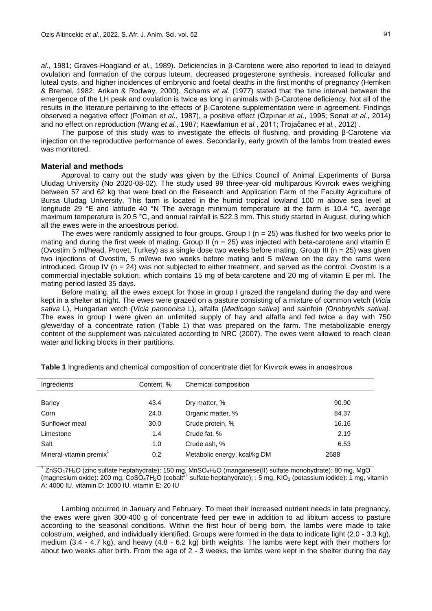*al.*, 1981; Graves-Hoagland *et al.*, 1989). Deficiencies in β-Carotene were also reported to lead to delayed ovulation and formation of the corpus luteum, decreased progesterone synthesis, increased follicular and luteal cysts, and higher incidences of embryonic and foetal deaths in the first months of pregnancy (Hemken & Bremel, 1982; Arikan & Rodway, 2000). Schams *et al.* (1977) stated that the time interval between the emergence of the LH peak and ovulation is twice as long in animals with β-Carotene deficiency. Not all of the results in the literature pertaining to the effects of β-Carotene supplementation were in agreement. Findings observed a negative effect (Folman *et al.*, 1987), a positive effect (Özpınar *et al.*, 1995; Sonat *et al.*, 2014) and no effect on reproduction (Wang *et al.*, 1987; Kaewlamun *et al.*, 2011; Trojačanec *et al.*, 2012) .

The purpose of this study was to investigate the effects of flushing, and providing β-Carotene via injection on the reproductive performance of ewes. Secondarily, early growth of the lambs from treated ewes was monitored.

#### **Material and methods**

Approval to carry out the study was given by the Ethics Council of Animal Experiments of Bursa Uludag University (No 2020-08-02). The study used 99 three-year-old multiparous Kıvırcık ewes weighing between 57 and 62 kg that were bred on the Research and Application Farm of the Faculty Agriculture of Bursa Uludag University. This farm is located in the humid tropical lowland 100 m above sea level at longitude 29 °E and latitude 40 °N The average minimum temperature at the farm is 10.4 °C, average maximum temperature is 20.5 °C, and annual rainfall is 522.3 mm. This study started in August, during which all the ewes were in the anoestrous period.

The ewes were randomly assigned to four groups. Group  $I(n = 25)$  was flushed for two weeks prior to mating and during the first week of mating. Group II ( $n = 25$ ) was injected with beta-carotene and vitamin E (Ovostim 5 ml/head, Provet, Turkey) as a single dose two weeks before mating. Group III (n = 25) was given two injections of Ovostim, 5 ml/ewe two weeks before mating and 5 ml/ewe on the day the rams were introduced. Group IV ( $n = 24$ ) was not subjected to either treatment, and served as the control. Ovostim is a commercial injectable solution, which contains 15 mg of beta-carotene and 20 mg of vitamin E per ml. The mating period lasted 35 days.

Before mating, all the ewes except for those in group I grazed the rangeland during the day and were kept in a shelter at night. The ewes were grazed on a pasture consisting of a mixture of common vetch (*Vicia sativa* L), Hungarian vetch (*Vicia pannonica* L), alfalfa (*Medicago sativa*) and sainfoin *(Onobrychis sativa)*. The ewes in group I were given an unlimited supply of hay and alfalfa and fed twice a day with 750 g/ewe/day of a concentrate ration (Table 1) that was prepared on the farm. The metabolizable energy content of the supplement was calculated according to NRC (2007). The ewes were allowed to reach clean water and licking blocks in their partitions.

| Ingredients                         | Content, % | Chemical composition         |       |
|-------------------------------------|------------|------------------------------|-------|
|                                     |            |                              |       |
| <b>Barley</b>                       | 43.4       | Dry matter, %                | 90.90 |
| Corn                                | 24.0       | Organic matter, %            | 84.37 |
| Sunflower meal                      | 30.0       | Crude protein, %             | 16.16 |
| Limestone                           | 1.4        | Crude fat, %                 | 2.19  |
| Salt                                | 1.0        | Crude ash, %                 | 6.53  |
| Mineral-vitamin premix <sup>1</sup> | 0.2        | Metabolic energy, kcal/kg DM | 2688  |

**Table 1** Ingredients and chemical composition of concentrate diet for Kıvırcık ewes in anoestrous

 $1$  ZnSO<sub>4</sub>7H<sub>2</sub>O (zinc sulfate heptahydrate): 150 mg, MnSO<sub>4</sub>H<sub>2</sub>O (manganese(II) sulfate monohydrate): 80 mg, MgO (magnesium oxide): 200 mg, CoSO<sub>4</sub>7H<sub>2</sub>O (cobalt<sup>2+</sup> sulfate heptahydrate); : 5 mg, KIO<sub>3</sub> (potassium iodide): 1 mg, vitamin A: 4000 IU, vitamin D: 1000 IU, vitamin E: 20 IU

Lambing occurred in January and February. To meet their increased nutrient needs in late pregnancy, the ewes were given 300-400 g of concentrate feed per ewe in addition to ad libitum access to pasture according to the seasonal conditions. Within the first hour of being born, the lambs were made to take colostrum, weighed, and individually identified. Groups were formed in the data to indicate light (2.0 - 3.3 kg), medium (3.4 - 4.7 kg), and heavy (4.8 - 6.2 kg) birth weights. The lambs were kept with their mothers for about two weeks after birth. From the age of 2 - 3 weeks, the lambs were kept in the shelter during the day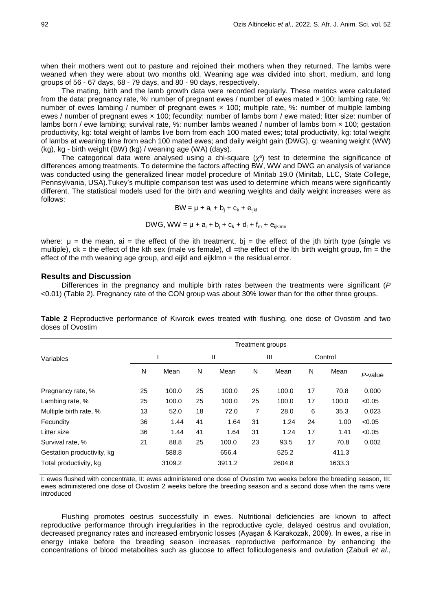when their mothers went out to pasture and rejoined their mothers when they returned. The lambs were weaned when they were about two months old. Weaning age was divided into short, medium, and long groups of 56 - 67 days, 68 - 79 days, and 80 - 90 days, respectively.

The mating, birth and the lamb growth data were recorded regularly. These metrics were calculated from the data: pregnancy rate, %: number of pregnant ewes / number of ewes mated x 100; lambing rate, %: number of ewes lambing / number of pregnant ewes × 100; multiple rate, %: number of multiple lambing ewes / number of pregnant ewes × 100; fecundity: number of lambs born / ewe mated; litter size: number of lambs born / ewe lambing; survival rate, %; number lambs weaned / number of lambs born x 100; gestation productivity, kg: total weight of lambs live born from each 100 mated ewes; total productivity, kg: total weight of lambs at weaning time from each 100 mated ewes; and daily weight gain (DWG), g: weaning weight (WW) (kg), kg - birth weight (BW) (kg) / weaning age (WA) (days).

The categorical data were analysed using a chi-square (*χ²*) test to determine the significance of differences among treatments. To determine the factors affecting BW, WW and DWG an analysis of variance was conducted using the generalized linear model procedure of Minitab 19.0 (Minitab, LLC, State College, Pennsylvania, USA).Tukey's multiple comparison test was used to determine which means were significantly different. The statistical models used for the birth and weaning weights and daily weight increases were as follows:

$$
BW = \mu + a_i + b_j + c_k + e_{ijkl}
$$

DWG, WW = 
$$
\mu + a_i + b_i + c_k + d_l + f_m + e_{ijklmn}
$$

where:  $\mu$  = the mean, ai = the effect of the ith treatment, bj = the effect of the jth birth type (single vs multiple),  $ck = the$  effect of the kth sex (male vs female), dl =the effect of the lth birth weight group, fm = the effect of the mth weaning age group, and eijkl and eijklmn = the residual error.

#### **Results and Discussion**

Differences in the pregnancy and multiple birth rates between the treatments were significant (*P* <0.01) (Table 2). Pregnancy rate of the CON group was about 30% lower than for the other three groups.

|                            |    |        |    |              |    | Treatment groups |    |         |         |  |  |  |  |
|----------------------------|----|--------|----|--------------|----|------------------|----|---------|---------|--|--|--|--|
| Variables                  |    |        |    | $\mathsf{I}$ |    | $\mathbf{III}$   |    | Control |         |  |  |  |  |
|                            | N  | Mean   | N  | Mean         | N  | Mean             | N  | Mean    | P-value |  |  |  |  |
| Pregnancy rate, %          | 25 | 100.0  | 25 | 100.0        | 25 | 100.0            | 17 | 70.8    | 0.000   |  |  |  |  |
| Lambing rate, %            | 25 | 100.0  | 25 | 100.0        | 25 | 100.0            | 17 | 100.0   | < 0.05  |  |  |  |  |
| Multiple birth rate, %     | 13 | 52.0   | 18 | 72.0         | 7  | 28.0             | 6  | 35.3    | 0.023   |  |  |  |  |
| Fecundity                  | 36 | 1.44   | 41 | 1.64         | 31 | 1.24             | 24 | 1.00    | < 0.05  |  |  |  |  |
| Litter size                | 36 | 1.44   | 41 | 1.64         | 31 | 1.24             | 17 | 1.41    | < 0.05  |  |  |  |  |
| Survival rate, %           | 21 | 88.8   | 25 | 100.0        | 23 | 93.5             | 17 | 70.8    | 0.002   |  |  |  |  |
| Gestation productivity, kg |    | 588.8  |    | 656.4        |    | 525.2            |    | 411.3   |         |  |  |  |  |
| Total productivity, kg     |    | 3109.2 |    | 3911.2       |    | 2604.8           |    | 1633.3  |         |  |  |  |  |

**Table 2** Reproductive performance of Kıvırcık ewes treated with flushing, one dose of Ovostim and two doses of Ovostim

I: ewes flushed with concentrate, II: ewes administered one dose of Ovostim two weeks before the breeding season, III: ewes administered one dose of Ovostim 2 weeks before the breeding season and a second dose when the rams were introduced

Flushing promotes oestrus successfully in ewes. Nutritional deficiencies are known to affect reproductive performance through irregularities in the reproductive cycle, delayed oestrus and ovulation, decreased pregnancy rates and increased embryonic losses (Ayaşan & Karakozak, 2009). In ewes, a rise in energy intake before the breeding season increases reproductive performance by enhancing the concentrations of blood metabolites such as glucose to affect folliculogenesis and ovulation (Zabuli *et al.*,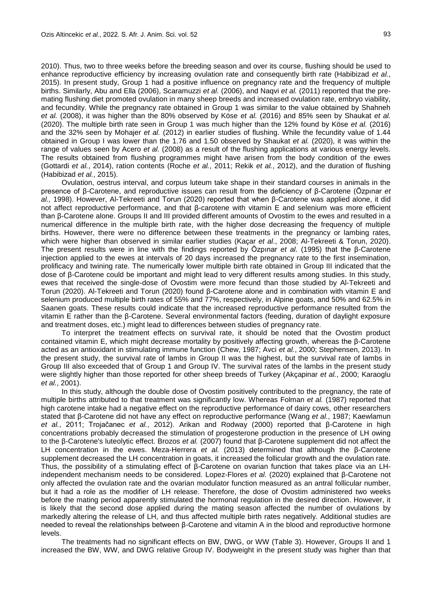2010). Thus, two to three weeks before the breeding season and over its course, flushing should be used to enhance reproductive efficiency by increasing ovulation rate and consequently birth rate (Habibizad *et al.*, 2015). In present study, Group 1 had a positive influence on pregnancy rate and the frequency of multiple births. Similarly, Abu and Ella (2006), Scaramuzzi *et al.* (2006), and Naqvi *et al.* (2011) reported that the premating flushing diet promoted ovulation in many sheep breeds and increased ovulation rate, embryo viability, and fecundity. While the pregnancy rate obtained in Group 1 was similar to the value obtained by Shahneh *et al.* (2008), it was higher than the 80% observed by Köse *et al.* (2016) and 85% seen by Shaukat *et al.* (2020). The multiple birth rate seen in Group 1 was much higher than the 12% found by Köse *et al.* (2016) and the 32% seen by Mohajer *et al.* (2012) in earlier studies of flushing. While the fecundity value of 1.44 obtained in Group I was lower than the 1.76 and 1.50 observed by Shaukat *et al.* (2020), it was within the range of values seen by Acero *et al.* (2008) as a result of the flushing applications at various energy levels. The results obtained from flushing programmes might have arisen from the body condition of the ewes (Gottardi *et al.*, 2014), ration contents (Roche *et al.*, 2011; Rekik *et al.*, 2012), and the duration of flushing (Habibizad *et al.*, 2015).

Ovulation, oestrus interval, and corpus luteum take shape in their standard courses in animals in the presence of β-Carotene, and reproductive issues can result from the deficiency of β-Carotene (Özpınar *et al.,* 1998). However, Al-Tekreeti and Torun (2020) reported that when β-Carotene was applied alone, it did not affect reproductive performance, and that β-carotene with vitamin E and selenium was more efficient than β-Carotene alone. Groups II and III provided different amounts of Ovostim to the ewes and resulted in a numerical difference in the multiple birth rate, with the higher dose decreasing the frequency of multiple births. However, there were no difference between these treatments in the pregnancy or lambing rates, which were higher than observed in similar earlier studies (Kaçar *et al.*, 2008; Al-Tekreeti & Torun, 2020). The present results were in line with the findings reported by Özpınar *et al.* (1995) that the β-Carotene injection applied to the ewes at intervals of 20 days increased the pregnancy rate to the first insemination, prolificacy and twining rate. The numerically lower multiple birth rate obtained in Group III indicated that the dose of β-Carotene could be important and might lead to very different results among studies. In this study, ewes that received the single-dose of Ovostim were more fecund than those studied by Al-Tekreeti and Torun (2020). Al-Tekreeti and Torun (2020) found β-Carotene alone and in combination with vitamin E and selenium produced multiple birth rates of 55% and 77%, respectively, in Alpine goats, and 50% and 62.5% in Saanen goats. These results could indicate that the increased reproductive performance resulted from the vitamin E rather than the β-Carotene. Several environmental factors (feeding, duration of daylight exposure and treatment doses, etc.) might lead to differences between studies of pregnancy rate.

To interpret the treatment effects on survival rate, it should be noted that the Ovostim product contained vitamin E, which might decrease mortality by positively affecting growth, whereas the β-Carotene acted as an antioxidant in stimulating immune function (Chew, 1987; Avci *et al.*, 2000; Stephensen, 2013). In the present study, the survival rate of lambs in Group II was the highest, but the survival rate of lambs in Group III also exceeded that of Group 1 and Group IV. The survival rates of the lambs in the present study were slightly higher than those reported for other sheep breeds of Turkey (Akçapinar *et al.*, 2000; Karaoglu *et al.*, 2001).

In this study, although the double dose of Ovostim positively contributed to the pregnancy, the rate of multiple births attributed to that treatment was significantly low. Whereas Folman *et al.* (1987) reported that high carotene intake had a negative effect on the reproductive performance of dairy cows, other researchers stated that β-Carotene did not have any effect on reproductive performance (Wang *et al.*, 1987; Kaewlamun *et al.*, 2011; Trojačanec *et al.*, 2012). Arikan and Rodway (2000) reported that β-Carotene in high concentrations probably decreased the stimulation of progesterone production in the presence of LH owing to the β-Carotene's luteolytic effect. Brozos *et al.* (2007) found that β-Carotene supplement did not affect the LH concentration in the ewes. Meza-Herrera *et al.* (2013) determined that although the β-Carotene supplement decreased the LH concentration in goats, it increased the follicular growth and the ovulation rate. Thus, the possibility of a stimulating effect of β-Carotene on ovarian function that takes place via an LHindependent mechanism needs to be considered. Lopez-Flores *et al.* (2020) explained that β-Carotene not only affected the ovulation rate and the ovarian modulator function measured as an antral follicular number, but it had a role as the modifier of LH release. Therefore, the dose of Ovostim administered two weeks before the mating period apparently stimulated the hormonal regulation in the desired direction. However, it is likely that the second dose applied during the mating season affected the number of ovulations by markedly altering the release of LH, and thus affected multiple birth rates negatively. Additional studies are needed to reveal the relationships between β-Carotene and vitamin A in the blood and reproductive hormone levels.

The treatments had no significant effects on BW, DWG, or WW (Table 3). However, Groups II and 1 increased the BW, WW, and DWG relative Group IV. Bodyweight in the present study was higher than that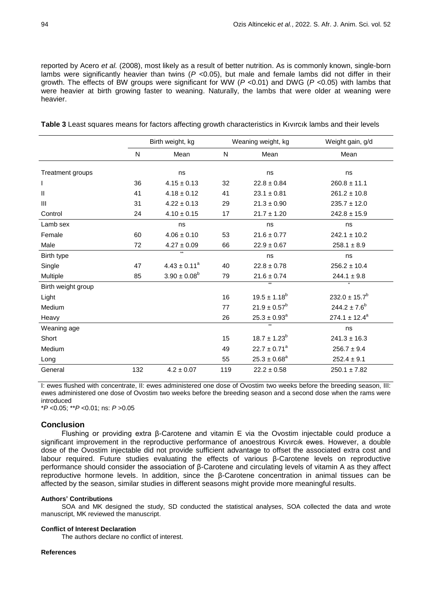reported by Acero *et al.* (2008), most likely as a result of better nutrition. As is commonly known, single-born lambs were significantly heavier than twins (*P* <0.05), but male and female lambs did not differ in their growth. The effects of BW groups were significant for WW (*P* <0.01) and DWG (*P* <0.05) with lambs that were heavier at birth growing faster to weaning. Naturally, the lambs that were older at weaning were heavier.

|                    |     | Birth weight, kg        |     | Weaning weight, kg  | Weight gain, g/d   |
|--------------------|-----|-------------------------|-----|---------------------|--------------------|
|                    | N   | Mean                    | N   | Mean                | Mean               |
| Treatment groups   |     | ns                      |     | ns                  | ns                 |
| I                  | 36  | $4.15 \pm 0.13$         | 32  | $22.8 \pm 0.84$     | $260.8 \pm 11.1$   |
| $\mathsf{I}$       | 41  | $4.18 \pm 0.12$         | 41  | $23.1 \pm 0.81$     | $261.2 \pm 10.8$   |
| III                | 31  | $4.22 \pm 0.13$         | 29  | $21.3 \pm 0.90$     | $235.7 \pm 12.0$   |
| Control            | 24  | $4.10 \pm 0.15$         | 17  | $21.7 \pm 1.20$     | $242.8 \pm 15.9$   |
| Lamb sex           |     | ns                      |     | ns                  | ns                 |
| Female             | 60  | $4.06 \pm 0.10$         | 53  | $21.6 \pm 0.77$     | $242.1 \pm 10.2$   |
| Male               | 72  | $4.27 \pm 0.09$         | 66  | $22.9 \pm 0.67$     | $258.1 \pm 8.9$    |
| Birth type         |     | $\star\star$            |     | ns                  | ns                 |
| Single             | 47  | $4.43 \pm 0.11^a$       | 40  | $22.8 \pm 0.78$     | $256.2 \pm 10.4$   |
| Multiple           | 85  | $3.90 \pm 0.08^{\rm b}$ | 79  | $21.6 \pm 0.74$     | $244.1 \pm 9.8$    |
| Birth weight group |     |                         |     | $\star\star$        |                    |
| Light              |     |                         | 16  | $19.5 \pm 1.18^{b}$ | $232.0 \pm 15.7^b$ |
| Medium             |     |                         | 77  | $21.9 \pm 0.57^b$   | $244.2 \pm 7.6^b$  |
| Heavy              |     |                         | 26  | $25.3 \pm 0.93^a$   | $274.1 \pm 12.4^a$ |
| Weaning age        |     |                         |     | $\star\star$        | ns                 |
| Short              |     |                         | 15  | $18.7 \pm 1.23^b$   | $241.3 \pm 16.3$   |
| Medium             |     |                         | 49  | $22.7 \pm 0.71^a$   | $256.7 \pm 9.4$    |
| Long               |     |                         | 55  | $25.3 \pm 0.68^a$   | $252.4 \pm 9.1$    |
| General            | 132 | $4.2 \pm 0.07$          | 119 | $22.2 \pm 0.58$     | $250.1 \pm 7.82$   |
|                    |     |                         |     |                     |                    |

**Table 3** Least squares means for factors affecting growth characteristics in Kıvırcık lambs and their levels

I: ewes flushed with concentrate, II: ewes administered one dose of Ovostim two weeks before the breeding season, III: ewes administered one dose of Ovostim two weeks before the breeding season and a second dose when the rams were introduced

\**P* <0.05; \*\**P* <0.01; ns: *P* >0.05

### **Conclusion**

Flushing or providing extra β-Carotene and vitamin E via the Ovostim injectable could produce a significant improvement in the reproductive performance of anoestrous Kıvırcık ewes. However, a double dose of the Ovostim injectable did not provide sufficient advantage to offset the associated extra cost and labour required. Future studies evaluating the effects of various β-Carotene levels on reproductive performance should consider the association of β-Carotene and circulating levels of vitamin A as they affect reproductive hormone levels. In addition, since the β-Carotene concentration in animal tissues can be affected by the season, similar studies in different seasons might provide more meaningful results.

#### **Authors' Contributions**

SOA and MK designed the study, SD conducted the statistical analyses, SOA collected the data and wrote manuscript. MK reviewed the manuscript.

#### **Conflict of Interest Declaration**

The authors declare no conflict of interest.

#### **References**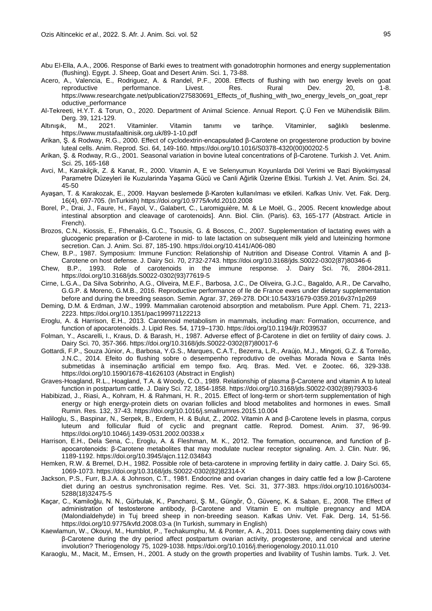- Abu El-Ella, A.A., 2006. Response of Barki ewes to treatment with gonadotrophin hormones and energy supplementation (flushing). Egypt. J. Sheep, Goat and Desert Anim. Sci. 1, 73-88.
- Acero, A., Valencia, E., Rodriguez, A. & Randel, P.F., 2008. Effects of flushing with two energy levels on goat reproductive performance. Livest. Res. Rural Dev. 20, 1-8. https://www.researchgate.net/publication/275830691 Effects of flushing with two energy levels on goat repr oductive\_performance
- Al-Tekreeti, H.Y.T. & Torun, O., 2020. Department of Animal Science. Annual Report. Ç.Ü Fen ve Mühendislik Bilim. Derg. 39, 121-129.
- Altınışık, M., 2021. Vitaminler. Vitamin tanımı ve tarihçe. Vitaminler, sağlıklı beslenme. https://www.mustafaaltinisik.org.uk/89-1-10.pdf
- Arikan, Ş. & Rodway, R.G., 2000. Effect of cyclodextrin-encapsulated β-Carotene on progesterone production by bovine luteal cells. Anim. Reprod. Sci. 64, 149-160. https://doi.org/10.1016/S0378-4320(00)00202-5
- Arikan, Ş. & Rodway, R.G., 2001. Seasonal variation in bovine luteal concentrations of β-Carotene. Turkish J. Vet. Anim. Sci. 25, 165-168
- Avci, M., Karakilçik, Z. & Kanat, R., 2000. Vitamin A, E ve Selenyumun Koyunlarda Döl Verimi ve Bazi Biyokimyasal Parametre Düzeyleri ile Kuzularinda Yaşama Gücü ve Canli Aǧirlik Üzerine Etkisi. Turkish J. Vet. Anim. Sci. 24, 45-50
- Ayaşan, T. & Karakozak, E., 2009. Hayvan beslemede β-Karoten kullanılması ve etkileri. Kafkas Univ. Vet. Fak. Derg. 16(4), 697-705. (InTurkish) <https://doi.org/10.9775/kvfd.2010.2008>
- Borel, P., Drai, J., Faure, H., Fayol, V., Galabert, C., Laromiguière, M. & Le Moël, G., 2005. Recent knowledge about intestinal absorption and cleavage of carotenoids]. Ann. Biol. Clin. (Paris). 63, 165-177 (Abstract. Article in French).
- Brozos, C.N., Kiossis, E., Fthenakis, G.C., Tsousis, G. & Boscos, C., 2007. Supplementation of lactating ewes with a glucogenic preparation or β-Carotene in mid- to late lactation on subsequent milk yield and luteinizing hormone secretion. Can. J. Anim. Sci. 87, 185-190. https://doi.org/10.4141/A06-080
- Chew, B.P., 1987. Symposium: Immune Function: Relationship of Nutrition and Disease Control. Vitamin A and β-Carotene on host defense. J. Dairy Sci. 70, 2732-2743. https://doi.org/10.3168/jds.S0022-0302(87)80346-6
- Chew, B.P., 1993. Role of carotenoids in the immune response. J. Dairy Sci. 76, 2804-2811. https://doi.org/10.3168/jds.S0022-0302(93)77619-5
- Cirne, L.G.A., Da Silva Sobrinho, A.G., Oliveira, M.E.F., Barbosa, J.C., De Oliveira, G.J.C., Bagaldo, A.R., De Carvalho, G.G.P. & Moreno, G.M.B., 2016. Reproductive performance of Ile de France ewes under dietary supplementation before and during the breeding season. Semin. Agrar. 37, 269-278. DOI:10.5433/1679-0359.2016v37n1p269
- Deming, D.M. & Erdman, J.W., 1999. Mammalian carotenoid absorption and metabolism. Pure Appl. Chem. 71, 2213- 2223. https://doi.org/10.1351/pac199971122213
- Eroglu, A. & Harrison, E.H., 2013. Carotenoid metabolism in mammals, including man: Formation, occurrence, and function of apocarotenoids. J. Lipid Res. 54, 1719–1730. https://doi.org/10.1194/jlr.R039537
- Folman, Y., Ascarelli, I., Kraus, D. & Barash, H., 1987. Adverse effect of β-Carotene in diet on fertility of dairy cows. J. Dairy Sci. 70, 357-366. https://doi.org/10.3168/jds.S0022-0302(87)80017-6
- Gottardi, F.P., Souza Júnior, A., Barbosa, Y.G.S., Marques, C.A.T., Bezerra, L.R., Araújo, M.J., Mingoti, G.Z. & Torreão, J.N.C., 2014. Efeito do flushing sobre o desempenho reprodutivo de ovelhas Morada Nova e Santa Inês submetidas à inseminação artificial em tempo fixo. Arq. Bras. Med. Vet. e Zootec. 66, 329-338. <https://doi.org/10.1590/1678-41626103> (Abstract in English)
- Graves-Hoagland, R.L., Hoagland, T.A. & Woody, C.O., 1989. Relationship of plasma β-Carotene and vitamin A to luteal function in postpartum cattle. J. Dairy Sci. 72, 1854-1858. https://doi.org/10.3168/jds.S0022-0302(89)79303-6
- Habibizad, J., Riasi, A., Kohram, H. & Rahmani, H. R., 2015. Effect of long-term or short-term supplementation of high energy or high energy-protein diets on ovarian follicles and blood metabolites and hormones in ewes. Small Rumin. Res. 132, 37-43. https://doi.org/10.1016/j.smallrumres.2015.10.004
- Haliloglu, S., Baspinar, N., Serpek, B., Erdem, H. & Bulut, Z., 2002. Vitamin A and β-Carotene levels in plasma, corpus luteum and follicular fluid of cyclic and pregnant cattle. Reprod. Domest. Anim. 37, 96-99. https://doi.org/10.1046/j.1439-0531.2002.00338.x
- Harrison, E.H., Dela Sena, C., Eroglu, A. & Fleshman, M. K., 2012. The formation, occurrence, and function of βapocarotenoids: β-Carotene metabolites that may modulate nuclear receptor signaling. Am. J. Clin. Nutr. 96, 1189-1192. https://doi.org/10.3945/ajcn.112.034843
- Hemken, R.W. & Bremel, D.H., 1982. Possible role of beta-carotene in ımproving fertility in dairy cattle. J. Dairy Sci. 65, 1069-1073. https://doi.org/10.3168/jds.S0022-0302(82)82314-X
- Jackson, P.S., Furr, B.J.A. & Johnson, C.T., 1981. Endocrine and ovarian changes in dairy cattle fed a low β-Carotene diet during an oestrus synchronisation regime. Res. Vet. Sci. 31, 377-383. https://doi.org/10.1016/s0034- 5288(18)32475-5
- Kaçar, C., Kamiloǧlu, N. N., Gürbulak, K., Pancharci, Ş. M., Güngör, Ö., Güvenç, K. & Saban, E., 2008. The Effect of administration of testosterone antibody, β-Carotene and Vitamin E on multiple pregnancy and MDA (Malondialdehyde) in Tuj breed sheep in non-breeding season. Kafkas Univ. Vet. Fak. Derg. 14, 51-56. <https://doi.org/10.9775/kvfd.2008.03-a> (In Turkish, summary in English)
- Kaewlamun, W., Okouyi, M., Humblot, P., Techakumphu, M. & Ponter, A. A., 2011. Does supplementing dairy cows with β-Carotene during the dry period affect postpartum ovarian activity, progesterone, and cervical and uterine involution? Theriogenology 75, 1029-1038. https://doi.org/10.1016/j.theriogenology.2010.11.010
- Karaoglu, M., Macit, M., Emsen, H., 2001. A study on the growth properties and livability of Tushin lambs. Turk. J. Vet.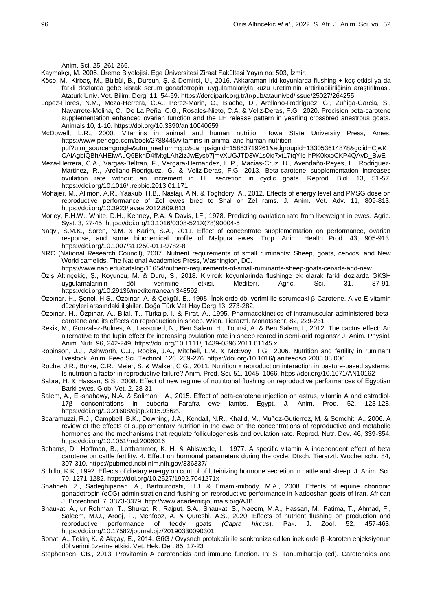Anim. Sci. 25, 261-266.

Kaymakçı, M. 2006. Üreme Biyolojisi. Ege Üniversitesi Ziraat Fakültesi Yayın no: 503, İzmir.

- Köse, M., Kirbaş, M., Bülbül, B., Dursun, Ş. & Demirci, U., 2016. Akkaraman irki koyunlarda flushing + koç etkisi ya da farkli dozlarda gebe kisrak serum gonadotropini uygulamalariyla kuzu üretiminin arttirilabilirliğinin araştirilmasi. Ataturk Univ. Vet. Bilim. Derg. 11, 54-59. https://dergipark.org.tr/tr/pub/ataunivbd/issue/25027/264255
- Lopez-Flores, N.M., Meza-Herrera, C.A., Perez-Marin, C., Blache, D., Arellano-Rodríguez, G., Zuñiga-Garcia, S., Navarrete-Molina, C., De La Peña, C.G., Rosales-Nieto, C.A. & Veliz-Deras, F.G., 2020. Precision beta-carotene supplementation enhanced ovarian function and the LH release pattern in yearling crossbred anestrous goats. Animals 10, 1-10. https://doi.org/10.3390/ani10040659
- McDowell, L.R., 2000. Vitamins in animal and human nutrition. Iowa State University Press, Ames. https://www.perlego.com/book/2788445/vitamins-in-animal-and-human-nutritionpdf?utm\_source=google&utm\_medium=cpc&campaignid=15853719261&adgroupid=133053614878&gclid=CjwK
- CAiAgbiQBhAHEiwAuQ6BkhD4fMtgLAh2izJwEysb7jmvXUGJTD3W1s0iq7xt17tqYIe-hPK0kxoCKP4QAvD\_BwE Meza-Herrera, C.A., Vargas-Beltran, F., Vergara-Hernandez, H.P., Macias-Cruz, U., Avendaño-Reyes, L., Rodriguez-
- Martinez, R., Arellano-Rodriguez, G. & Veliz-Deras, F.G. 2013. Beta-carotene supplementation increases ovulation rate without an increment in LH secretion in cyclic goats. Reprod. Biol. 13, 51-57. https://doi.org/10.1016/j.repbio.2013.01.171
- Mohajer, M., Alimon, A.R., Yaakub, H.B., Naslaji, A.N. & Toghdory, A., 2012. Effects of energy level and PMSG dose on reproductive performance of Zel ewes bred to Shal or Zel rams. J. Anim. Vet. Adv. 11, 809-813. https://doi.org/10.3923/javaa.2012.809.813
- Morley, F.H.W., White, D.H., Kenney, P.A. & Davis, I.F., 1978. Predicting ovulation rate from liveweight in ewes. Agric. Syst. 3, 27-45. https://doi.org/10.1016/0308-521X(78)90004-5
- Naqvi, S.M.K., Soren, N.M. & Karim, S.A., 2011. Effect of concentrate supplementation on performance, ovarian response, and some biochemical profile of Malpura ewes. Trop. Anim. Health Prod. 43, 905-913. https://doi.org/10.1007/s11250-011-9782-8
- NRC (National Research Council), 2007. Nutrient requirements of small ruminants: Sheep, goats, cervids, and New World camelids. The National Academies Press, Washington, DC.
	- https://www.nap.edu/catalog/11654/nutrient-requirements-of-small-ruminants-sheep-goats-cervids-and-new
- Öziş Altınçekiç, Ş., Koyuncu, M. & Duru, S., 2018. Kıvırcık koyunlarinda flushinge ek olarak farkli dozlarda GKSH uygulamalarinin döl verimine etkisi. Mediterr. Agric. Sci. 31, 87-91. https://doi.org/10.29136/mediterranean.348592
- Özpınar, H., Şenel, H.S., Özpınar, A. & Çekgül, E., 1998. İneklerde döl verimi ile serumdaki β-Carotene, A ve E vitamin düzeyleri arasındaki ilişkiler. Doğa Türk Vet Hay Derg 13, 273-282.
- Özpınar, H., Özpınar, A., Bilal, T., Türkalp, I. & Fırat, A., 1995. Pharmacokinetics of intramuscular administered betacarotene and its effects on reproduction in sheep. Wien. Tierarztl. Monatsschr. 82, 229-231
- Rekik, M., Gonzalez-Bulnes, A., Lassoued, N., Ben Salem, H., Tounsi, A. & Ben Salem, I., 2012. The cactus effect: An alternative to the lupin effect for increasing ovulation rate in sheep reared in semi-arid regions? J. Anim. Physiol. Anim. Nutr. 96, 242-249. https://doi.org/10.1111/j.1439-0396.2011.01145.x
- Robinson, J.J., Ashworth, C.J., Rooke, J.A., Mitchell, L.M. & McEvoy, T.G., 2006. Nutrition and fertility in ruminant livestock. Anim. Feed Sci. Technol. 126, 259-276. https://doi.org/10.1016/j.anifeedsci.2005.08.006
- Roche, J.R., Burke, C.R., Meier, S. & Walker, C.G., 2011. Nutrition x reproduction interaction in pasture-based systems: Is nutrition a factor in reproductive failure? Anim. Prod. Sci. 51, 1045–1066. https://doi.org/10.1071/AN10162
- Sabra, H. & Hassan, S.S., 2008. Effect of new regime of nutrıtıonal flushing on reproductive performances of Egyptian Barki ewes. Glob. Vet. 2, 28-31
- Salem, A., El-shahawy, N.A. & Soliman, I.A., 2015. Effect of beta-carotene ınjection on estrus, vitamin A and estradiol-17β concentrations in pubertal Farafra ewe lambs. Egypt. J. Anim. Prod. 52, 123-128. https://doi.org/10.21608/ejap.2015.93629
- Scaramuzzi, R.J., Campbell, B.K., Downing, J.A., Kendall, N.R., Khalid, M., Muñoz-Gutiérrez, M. & Somchit, A., 2006. A review of the effects of supplementary nutrition in the ewe on the concentrations of reproductive and metabolic hormones and the mechanisms that regulate folliculogenesis and ovulation rate. Reprod. Nutr. Dev. 46, 339-354. https://doi.org/10.1051/rnd:2006016
- Schams, D., Hoffman, B., Lotthammer, K. H. & Ahlswede, L., 1977. A specific vitamin A independent effect of beta carotene on cattle fertility. 4. Effect on hormonal parameters during the cycle. Dtsch. Tierarztl. Wochenschr. 84, 307-310. https://pubmed.ncbi.nlm.nih.gov/336337/
- Schillo, K.K., 1992. Effects of dietary energy on control of luteinizing hormone secretion in cattle and sheep. J. Anim. Sci. 70, 1271-1282. https://doi.org/10.2527/1992.7041271x
- Shahneh, Z., Sadeghipanah, A., Barfourooshi, H.J. & Emami-mibody, M.A., 2008. Effects of equine chorionic gonadotropin (eCG) administration and flushing on reproductive performance in Nadooshan goats of Iran. African J. Biotechnol. 7, 3373-3379. http://www.academicjournals.org/AJB
- Shaukat, A., ur Rehman, T., Shukat, R., Rajput, S.A., Shaukat, S., Naeem, M.A., Hassan, M., Fatima, T., Ahmad, F., Saleem, M.U., Arooj, F., Mehfooz, A. & Qureshi, A.S., 2020. Effects of nutrient flushing on production and reproductive performance of teddy goats *(Capra hircus*). Pak. J. Zool. 52, 457-463. https://doi.org/10.17582/journal.pjz/20190330090301
- Sonat, A., Tekin, K. & Akçay, E., 2014. G6G / Ovysnch protokolü ile senkronize edilen ineklerde β -karoten enjeksiyonun döl verimi üzerine etkisi. Vet. Hek. Der. 85, 17-23
- Stephensen, CB., 2013. Provitamin A carotenoids and immune function. In: S. Tanumihardjo (ed). Carotenoids and